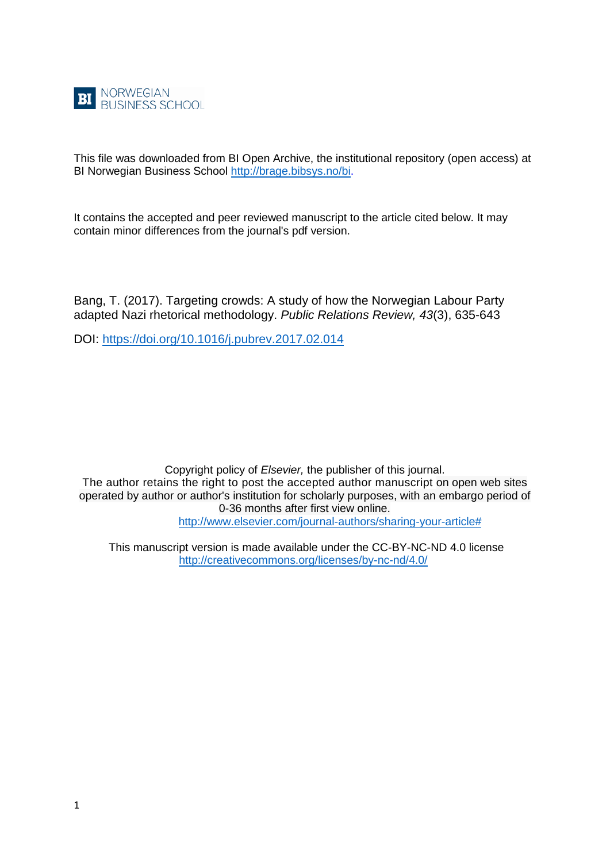

This file was downloaded from BI Open Archive, the institutional repository (open access) at BI Norwegian Business School [http://brage.bibsys.no/bi.](http://brage.bibsys.no/bi)

It contains the accepted and peer reviewed manuscript to the article cited below. It may contain minor differences from the journal's pdf version.

Bang, T. (2017). Targeting crowds: A study of how the Norwegian Labour Party adapted Nazi rhetorical methodology. *Public Relations Review, 43*(3), 635-643

DOI:<https://doi.org/10.1016/j.pubrev.2017.02.014>

Copyright policy of *Elsevier,* the publisher of this journal. The author retains the right to post the accepted author manuscript on open web sites operated by author or author's institution for scholarly purposes, with an embargo period of 0-36 months after first view online. [http://www.elsevier.com/journal-authors/sharing-your-article#](http://www.elsevier.com/journal-authors/sharing-your-article)

This manuscript version is made available under the CC-BY-NC-ND 4.0 license <http://creativecommons.org/licenses/by-nc-nd/4.0/>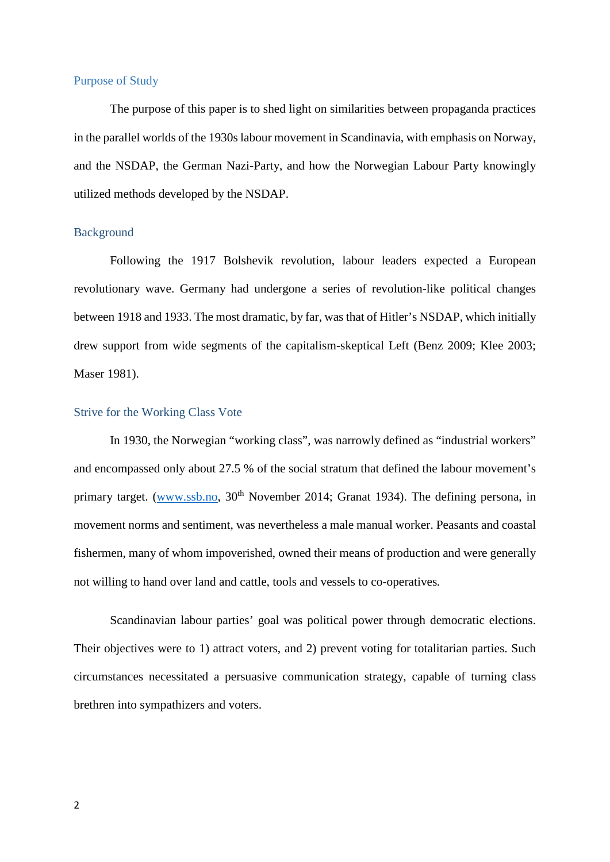# Purpose of Study

The purpose of this paper is to shed light on similarities between propaganda practices in the parallel worlds of the 1930s labour movement in Scandinavia, with emphasis on Norway, and the NSDAP, the German Nazi-Party, and how the Norwegian Labour Party knowingly utilized methods developed by the NSDAP.

# Background

Following the 1917 Bolshevik revolution, labour leaders expected a European revolutionary wave. Germany had undergone a series of revolution-like political changes between 1918 and 1933. The most dramatic, by far, was that of Hitler's NSDAP, which initially drew support from wide segments of the capitalism-skeptical Left (Benz 2009; Klee 2003; Maser 1981).

# Strive for the Working Class Vote

In 1930, the Norwegian "working class", was narrowly defined as "industrial workers" and encompassed only about 27.5 % of the social stratum that defined the labour movement's primary target. [\(www.ssb.no,](http://www.ssb.no/)  $30<sup>th</sup>$  November 2014; Granat 1934). The defining persona, in movement norms and sentiment, was nevertheless a male manual worker. Peasants and coastal fishermen, many of whom impoverished, owned their means of production and were generally not willing to hand over land and cattle, tools and vessels to co-operatives*.*

Scandinavian labour parties' goal was political power through democratic elections. Their objectives were to 1) attract voters, and 2) prevent voting for totalitarian parties. Such circumstances necessitated a persuasive communication strategy, capable of turning class brethren into sympathizers and voters.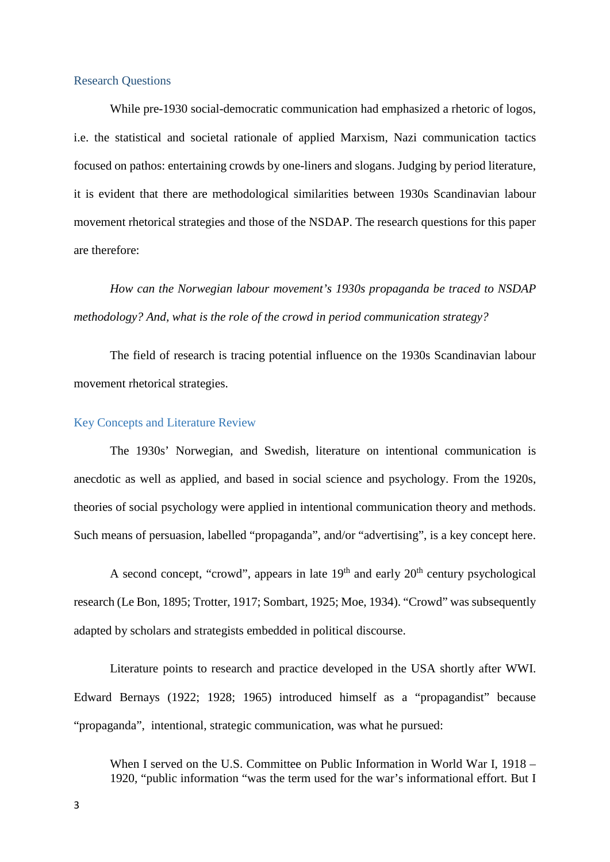# Research Questions

While pre-1930 social-democratic communication had emphasized a rhetoric of logos, i.e. the statistical and societal rationale of applied Marxism, Nazi communication tactics focused on pathos: entertaining crowds by one-liners and slogans. Judging by period literature, it is evident that there are methodological similarities between 1930s Scandinavian labour movement rhetorical strategies and those of the NSDAP. The research questions for this paper are therefore:

*How can the Norwegian labour movement's 1930s propaganda be traced to NSDAP methodology? And, what is the role of the crowd in period communication strategy?* 

The field of research is tracing potential influence on the 1930s Scandinavian labour movement rhetorical strategies.

# Key Concepts and Literature Review

The 1930s' Norwegian, and Swedish, literature on intentional communication is anecdotic as well as applied, and based in social science and psychology. From the 1920s, theories of social psychology were applied in intentional communication theory and methods. Such means of persuasion, labelled "propaganda", and/or "advertising", is a key concept here.

A second concept, "crowd", appears in late  $19<sup>th</sup>$  and early  $20<sup>th</sup>$  century psychological research (Le Bon, 1895; Trotter, 1917; Sombart, 1925; Moe, 1934). "Crowd" was subsequently adapted by scholars and strategists embedded in political discourse.

Literature points to research and practice developed in the USA shortly after WWI. Edward Bernays (1922; 1928; 1965) introduced himself as a "propagandist" because "propaganda", intentional, strategic communication, was what he pursued:

When I served on the U.S. Committee on Public Information in World War I, 1918 – 1920, "public information "was the term used for the war's informational effort. But I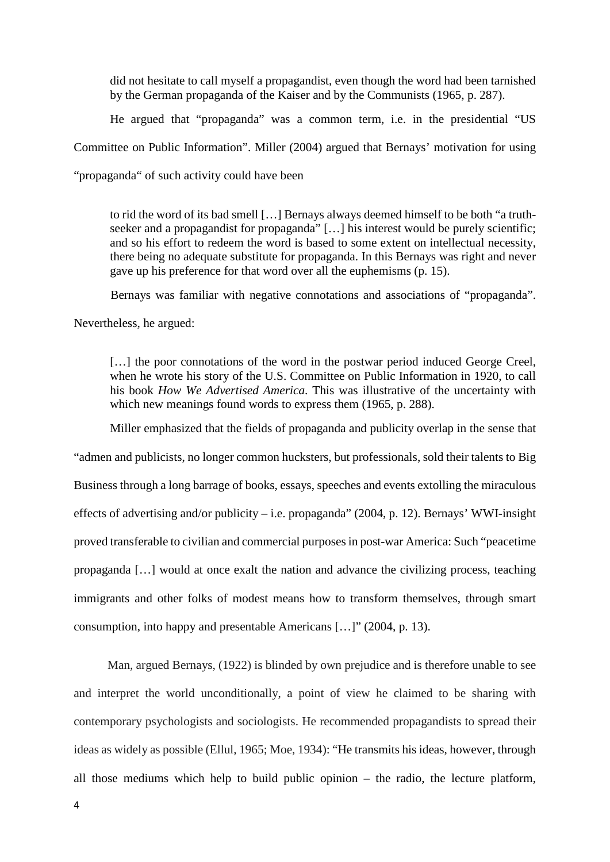did not hesitate to call myself a propagandist, even though the word had been tarnished by the German propaganda of the Kaiser and by the Communists (1965, p. 287).

He argued that "propaganda" was a common term, i.e. in the presidential "US

Committee on Public Information". Miller (2004) argued that Bernays' motivation for using

"propaganda" of such activity could have been

to rid the word of its bad smell […] Bernays always deemed himself to be both "a truthseeker and a propagandist for propaganda" [...] his interest would be purely scientific; and so his effort to redeem the word is based to some extent on intellectual necessity, there being no adequate substitute for propaganda. In this Bernays was right and never gave up his preference for that word over all the euphemisms (p. 15).

Bernays was familiar with negative connotations and associations of "propaganda".

Nevertheless, he argued:

[...] the poor connotations of the word in the postwar period induced George Creel, when he wrote his story of the U.S. Committee on Public Information in 1920, to call his book *How We Advertised America*. This was illustrative of the uncertainty with which new meanings found words to express them (1965, p. 288).

Miller emphasized that the fields of propaganda and publicity overlap in the sense that

"admen and publicists, no longer common hucksters, but professionals, sold their talents to Big Business through a long barrage of books, essays, speeches and events extolling the miraculous effects of advertising and/or publicity – i.e. propaganda" (2004, p. 12). Bernays' WWI-insight proved transferable to civilian and commercial purposes in post-war America: Such "peacetime propaganda […] would at once exalt the nation and advance the civilizing process, teaching immigrants and other folks of modest means how to transform themselves, through smart consumption, into happy and presentable Americans […]" (2004, p. 13).

 Man, argued Bernays, (1922) is blinded by own prejudice and is therefore unable to see and interpret the world unconditionally, a point of view he claimed to be sharing with contemporary psychologists and sociologists. He recommended propagandists to spread their ideas as widely as possible (Ellul, 1965; Moe, 1934): "He transmits his ideas, however, through all those mediums which help to build public opinion – the radio, the lecture platform,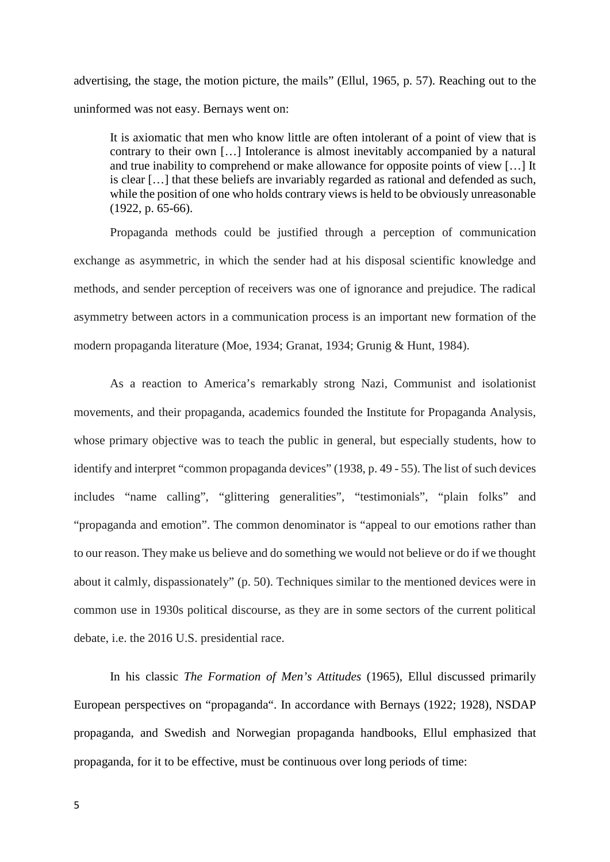advertising, the stage, the motion picture, the mails" (Ellul, 1965, p. 57). Reaching out to the uninformed was not easy. Bernays went on:

It is axiomatic that men who know little are often intolerant of a point of view that is contrary to their own […] Intolerance is almost inevitably accompanied by a natural and true inability to comprehend or make allowance for opposite points of view […] It is clear […] that these beliefs are invariably regarded as rational and defended as such, while the position of one who holds contrary views is held to be obviously unreasonable (1922, p. 65-66).

Propaganda methods could be justified through a perception of communication exchange as asymmetric, in which the sender had at his disposal scientific knowledge and methods, and sender perception of receivers was one of ignorance and prejudice. The radical asymmetry between actors in a communication process is an important new formation of the modern propaganda literature (Moe, 1934; Granat, 1934; Grunig & Hunt, 1984).

As a reaction to America's remarkably strong Nazi, Communist and isolationist movements, and their propaganda, academics founded the Institute for Propaganda Analysis, whose primary objective was to teach the public in general, but especially students, how to identify and interpret "common propaganda devices" (1938, p. 49 - 55). The list of such devices includes "name calling", "glittering generalities", "testimonials", "plain folks" and "propaganda and emotion". The common denominator is "appeal to our emotions rather than to our reason. They make us believe and do something we would not believe or do if we thought about it calmly, dispassionately" (p. 50). Techniques similar to the mentioned devices were in common use in 1930s political discourse, as they are in some sectors of the current political debate, i.e. the 2016 U.S. presidential race.

In his classic *The Formation of Men's Attitudes* (1965), Ellul discussed primarily European perspectives on "propaganda". In accordance with Bernays (1922; 1928), NSDAP propaganda, and Swedish and Norwegian propaganda handbooks, Ellul emphasized that propaganda, for it to be effective, must be continuous over long periods of time: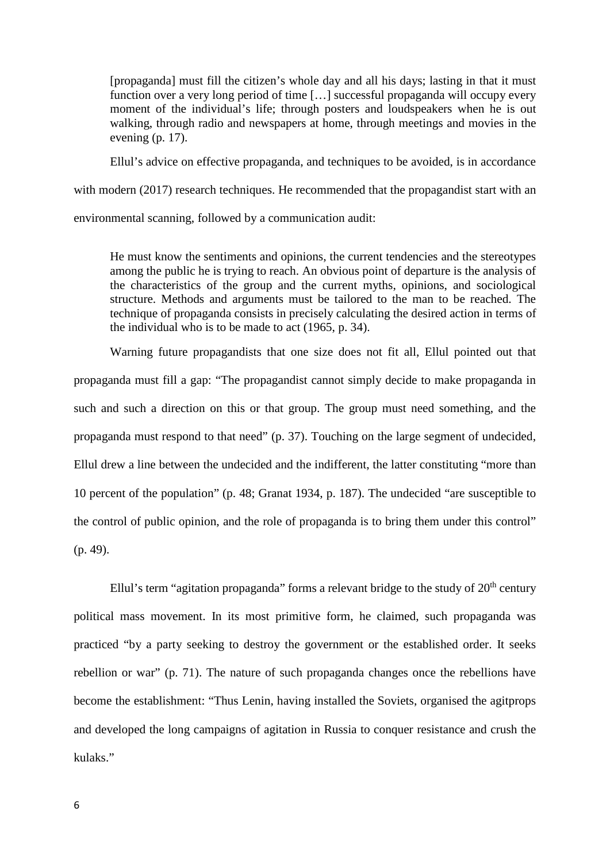[propaganda] must fill the citizen's whole day and all his days; lasting in that it must function over a very long period of time […] successful propaganda will occupy every moment of the individual's life; through posters and loudspeakers when he is out walking, through radio and newspapers at home, through meetings and movies in the evening (p. 17).

Ellul's advice on effective propaganda, and techniques to be avoided, is in accordance

with modern (2017) research techniques. He recommended that the propagandist start with an

environmental scanning, followed by a communication audit:

He must know the sentiments and opinions, the current tendencies and the stereotypes among the public he is trying to reach. An obvious point of departure is the analysis of the characteristics of the group and the current myths, opinions, and sociological structure. Methods and arguments must be tailored to the man to be reached. The technique of propaganda consists in precisely calculating the desired action in terms of the individual who is to be made to act (1965, p. 34).

Warning future propagandists that one size does not fit all, Ellul pointed out that propaganda must fill a gap: "The propagandist cannot simply decide to make propaganda in such and such a direction on this or that group. The group must need something, and the propaganda must respond to that need" (p. 37). Touching on the large segment of undecided, Ellul drew a line between the undecided and the indifferent, the latter constituting "more than 10 percent of the population" (p. 48; Granat 1934, p. 187). The undecided "are susceptible to the control of public opinion, and the role of propaganda is to bring them under this control" (p. 49).

Ellul's term "agitation propaganda" forms a relevant bridge to the study of  $20<sup>th</sup>$  century political mass movement. In its most primitive form, he claimed, such propaganda was practiced "by a party seeking to destroy the government or the established order. It seeks rebellion or war" (p. 71). The nature of such propaganda changes once the rebellions have become the establishment: "Thus Lenin, having installed the Soviets, organised the agitprops and developed the long campaigns of agitation in Russia to conquer resistance and crush the kulaks."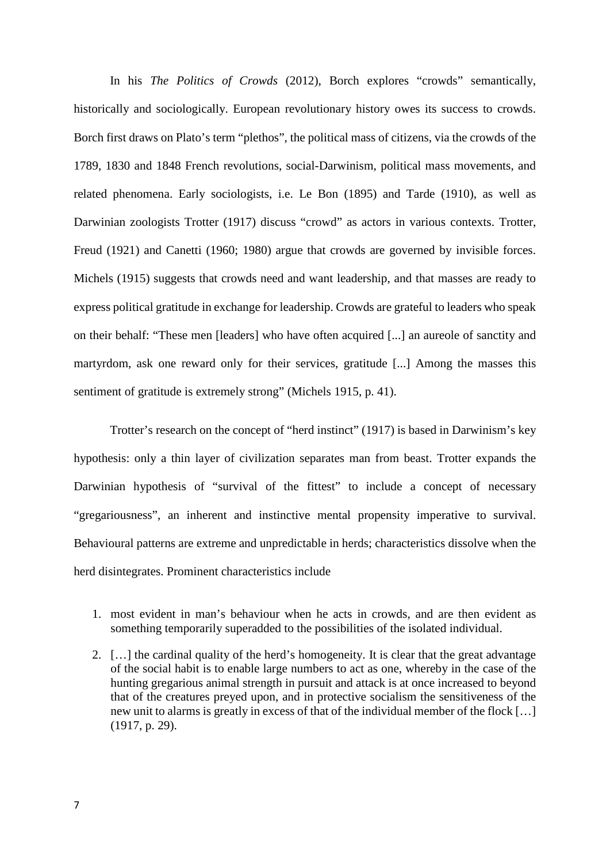In his *The Politics of Crowds* (2012), Borch explores "crowds" semantically, historically and sociologically. European revolutionary history owes its success to crowds. Borch first draws on Plato's term "plethos", the political mass of citizens, via the crowds of the 1789, 1830 and 1848 French revolutions, social-Darwinism, political mass movements, and related phenomena. Early sociologists, i.e. Le Bon (1895) and Tarde (1910), as well as Darwinian zoologists Trotter (1917) discuss "crowd" as actors in various contexts. Trotter, Freud (1921) and Canetti (1960; 1980) argue that crowds are governed by invisible forces. Michels (1915) suggests that crowds need and want leadership, and that masses are ready to express political gratitude in exchange for leadership. Crowds are grateful to leaders who speak on their behalf: "These men [leaders] who have often acquired [...] an aureole of sanctity and martyrdom, ask one reward only for their services, gratitude [...] Among the masses this sentiment of gratitude is extremely strong" (Michels 1915, p. 41).

Trotter's research on the concept of "herd instinct" (1917) is based in Darwinism's key hypothesis: only a thin layer of civilization separates man from beast. Trotter expands the Darwinian hypothesis of "survival of the fittest" to include a concept of necessary "gregariousness", an inherent and instinctive mental propensity imperative to survival. Behavioural patterns are extreme and unpredictable in herds; characteristics dissolve when the herd disintegrates. Prominent characteristics include

- 1. most evident in man's behaviour when he acts in crowds, and are then evident as something temporarily superadded to the possibilities of the isolated individual.
- 2. […] the cardinal quality of the herd's homogeneity. It is clear that the great advantage of the social habit is to enable large numbers to act as one, whereby in the case of the hunting gregarious animal strength in pursuit and attack is at once increased to beyond that of the creatures preyed upon, and in protective socialism the sensitiveness of the new unit to alarms is greatly in excess of that of the individual member of the flock […] (1917, p. 29).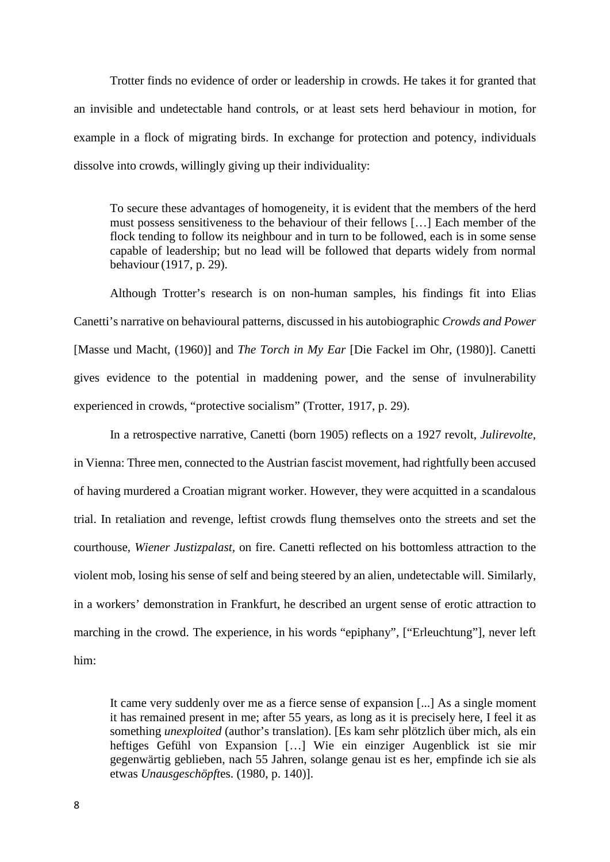Trotter finds no evidence of order or leadership in crowds. He takes it for granted that an invisible and undetectable hand controls, or at least sets herd behaviour in motion, for example in a flock of migrating birds. In exchange for protection and potency, individuals dissolve into crowds, willingly giving up their individuality:

To secure these advantages of homogeneity, it is evident that the members of the herd must possess sensitiveness to the behaviour of their fellows […] Each member of the flock tending to follow its neighbour and in turn to be followed, each is in some sense capable of leadership; but no lead will be followed that departs widely from normal behaviour (1917, p. 29).

Although Trotter's research is on non-human samples, his findings fit into Elias Canetti's narrative on behavioural patterns, discussed in his autobiographic *Crowds and Power*  [Masse und Macht, (1960)] and *The Torch in My Ear* [Die Fackel im Ohr, (1980)]. Canetti gives evidence to the potential in maddening power, and the sense of invulnerability experienced in crowds, "protective socialism" (Trotter, 1917, p. 29).

In a retrospective narrative, Canetti (born 1905) reflects on a 1927 revolt, *Julirevolte,* in Vienna: Three men, connected to the Austrian fascist movement, had rightfully been accused of having murdered a Croatian migrant worker. However, they were acquitted in a scandalous trial. In retaliation and revenge, leftist crowds flung themselves onto the streets and set the courthouse, *Wiener Justizpalast,* on fire. Canetti reflected on his bottomless attraction to the violent mob, losing his sense of self and being steered by an alien, undetectable will. Similarly, in a workers' demonstration in Frankfurt, he described an urgent sense of erotic attraction to marching in the crowd. The experience, in his words "epiphany", ["Erleuchtung"], never left him:

It came very suddenly over me as a fierce sense of expansion [...] As a single moment it has remained present in me; after 55 years, as long as it is precisely here, I feel it as something *unexploited* (author's translation). [Es kam sehr plötzlich über mich, als ein heftiges Gefühl von Expansion […] Wie ein einziger Augenblick ist sie mir gegenwärtig geblieben, nach 55 Jahren, solange genau ist es her, empfinde ich sie als etwas *Unausgeschöpft*es. (1980, p. 140)].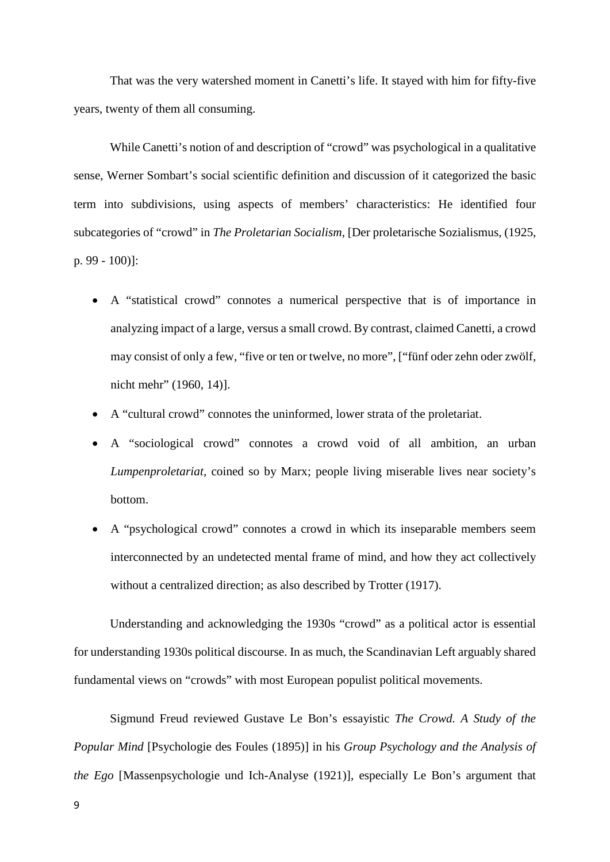That was the very watershed moment in Canetti's life. It stayed with him for fifty-five years, twenty of them all consuming.

While Canetti's notion of and description of "crowd" was psychological in a qualitative sense, Werner Sombart's social scientific definition and discussion of it categorized the basic term into subdivisions, using aspects of members' characteristics: He identified four subcategories of "crowd" in *The Proletarian Socialism*, [Der proletarische Sozialismus, (1925, p. 99 - 100)]:

- A "statistical crowd" connotes a numerical perspective that is of importance in analyzing impact of a large, versus a small crowd. By contrast, claimed Canetti, a crowd may consist of only a few, "five or ten or twelve, no more", ["fünf oder zehn oder zwölf, nicht mehr" (1960, 14)].
- A "cultural crowd" connotes the uninformed, lower strata of the proletariat.
- A "sociological crowd" connotes a crowd void of all ambition, an urban *Lumpenproletariat,* coined so by Marx; people living miserable lives near society's bottom.
- A "psychological crowd" connotes a crowd in which its inseparable members seem interconnected by an undetected mental frame of mind, and how they act collectively without a centralized direction; as also described by Trotter (1917).

Understanding and acknowledging the 1930s "crowd" as a political actor is essential for understanding 1930s political discourse. In as much, the Scandinavian Left arguably shared fundamental views on "crowds" with most European populist political movements.

Sigmund Freud reviewed Gustave Le Bon's essayistic *The Crowd. A Study of the Popular Mind* [Psychologie des Foules (1895)] in his *Group Psychology and the Analysis of the Ego* [Massenpsychologie und Ich-Analyse (1921)], especially Le Bon's argument that

9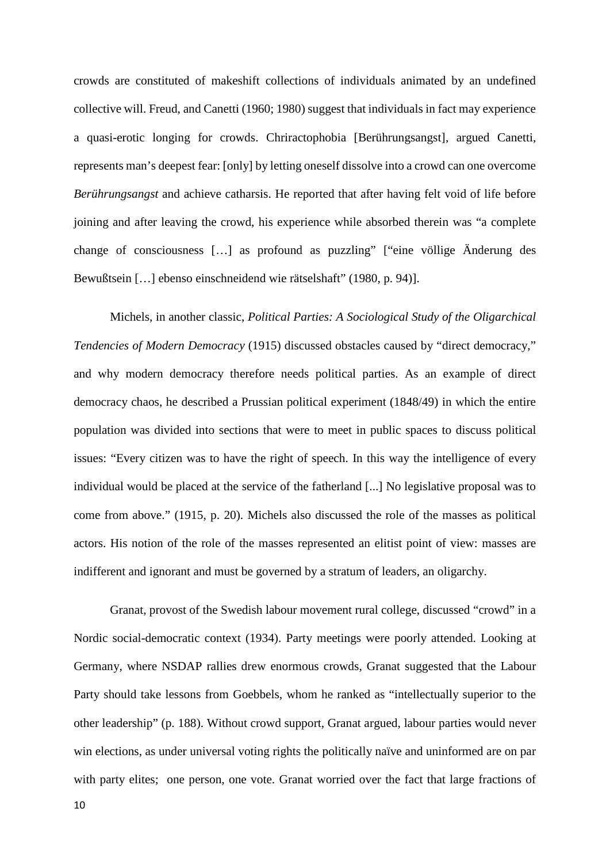crowds are constituted of makeshift collections of individuals animated by an undefined collective will. Freud, and Canetti (1960; 1980) suggest that individuals in fact may experience a quasi-erotic longing for crowds. Chriractophobia [Berührungsangst], argued Canetti, represents man's deepest fear: [only] by letting oneself dissolve into a crowd can one overcome *Berührungsangst* and achieve catharsis. He reported that after having felt void of life before joining and after leaving the crowd, his experience while absorbed therein was "a complete change of consciousness […] as profound as puzzling" ["eine völlige Änderung des Bewußtsein […] ebenso einschneidend wie rätselshaft" (1980, p. 94)].

Michels, in another classic, *Political Parties: A Sociological Study of the Oligarchical Tendencies of Modern Democracy* (1915) discussed obstacles caused by "direct democracy," and why modern democracy therefore needs political parties. As an example of direct democracy chaos, he described a Prussian political experiment (1848/49) in which the entire population was divided into sections that were to meet in public spaces to discuss political issues: "Every citizen was to have the right of speech. In this way the intelligence of every individual would be placed at the service of the fatherland [...] No legislative proposal was to come from above." (1915, p. 20). Michels also discussed the role of the masses as political actors. His notion of the role of the masses represented an elitist point of view: masses are indifferent and ignorant and must be governed by a stratum of leaders, an oligarchy.

Granat, provost of the Swedish labour movement rural college, discussed "crowd" in a Nordic social-democratic context (1934). Party meetings were poorly attended. Looking at Germany, where NSDAP rallies drew enormous crowds, Granat suggested that the Labour Party should take lessons from Goebbels, whom he ranked as "intellectually superior to the other leadership" (p. 188). Without crowd support, Granat argued, labour parties would never win elections, as under universal voting rights the politically naïve and uninformed are on par with party elites; one person, one vote. Granat worried over the fact that large fractions of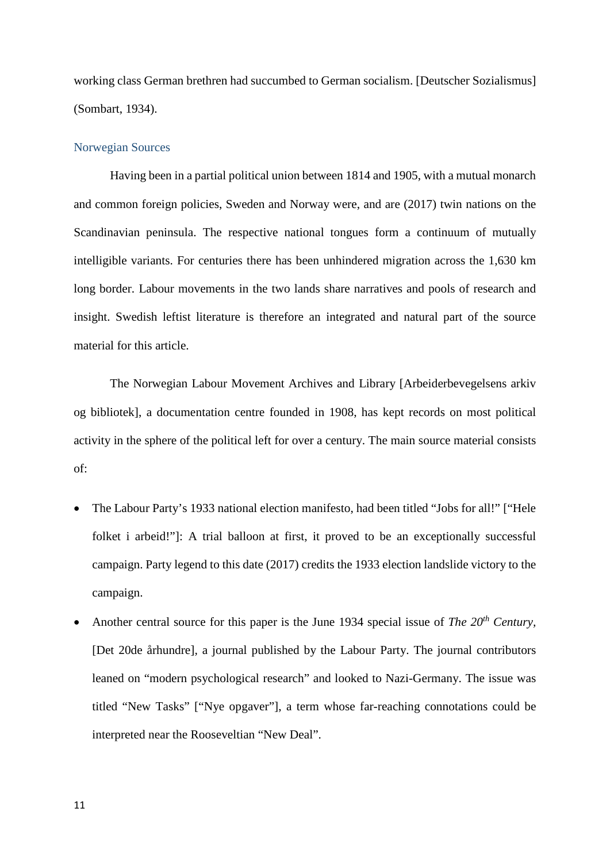working class German brethren had succumbed to German socialism. [Deutscher Sozialismus] (Sombart, 1934).

# Norwegian Sources

Having been in a partial political union between 1814 and 1905, with a mutual monarch and common foreign policies, Sweden and Norway were, and are (2017) twin nations on the Scandinavian peninsula. The respective national tongues form a continuum of mutually intelligible variants. For centuries there has been unhindered migration across the 1,630 km long border. Labour movements in the two lands share narratives and pools of research and insight. Swedish leftist literature is therefore an integrated and natural part of the source material for this article.

The Norwegian Labour Movement Archives and Library [Arbeiderbevegelsens arkiv og bibliotek], a documentation centre founded in 1908, has kept records on most political activity in the sphere of the political left for over a century. The main source material consists of:

- The Labour Party's 1933 national election manifesto, had been titled "Jobs for all!" ["Hele folket i arbeid!"]: A trial balloon at first, it proved to be an exceptionally successful campaign. Party legend to this date (2017) credits the 1933 election landslide victory to the campaign.
- Another central source for this paper is the June 1934 special issue of *The 20th Century,*  [Det 20de århundre]*,* a journal published by the Labour Party. The journal contributors leaned on "modern psychological research" and looked to Nazi-Germany. The issue was titled "New Tasks" ["Nye opgaver"], a term whose far-reaching connotations could be interpreted near the Rooseveltian "New Deal".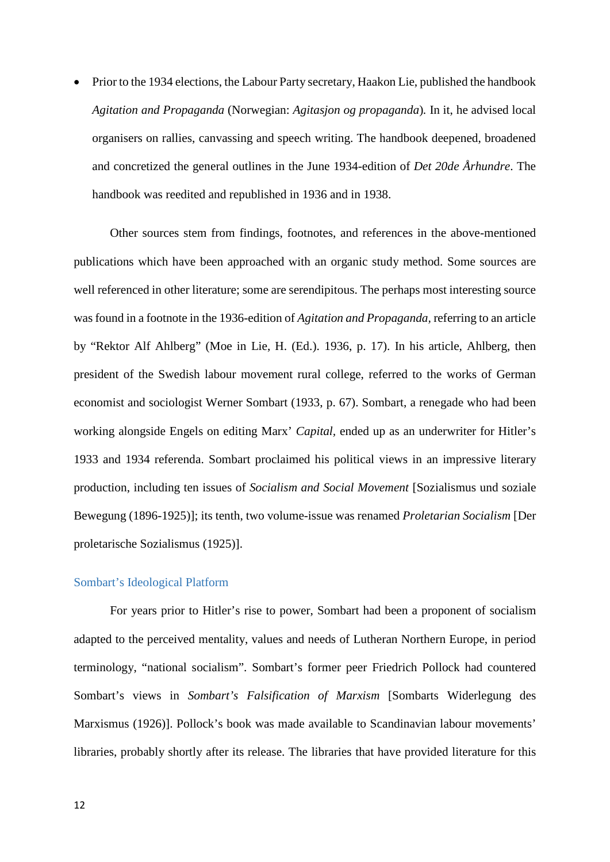• Prior to the 1934 elections, the Labour Party secretary, Haakon Lie, published the handbook *Agitation and Propaganda* (Norwegian: *Agitasjon og propaganda*)*.* In it, he advised local organisers on rallies, canvassing and speech writing. The handbook deepened, broadened and concretized the general outlines in the June 1934-edition of *Det 20de Århundre*. The handbook was reedited and republished in 1936 and in 1938.

Other sources stem from findings, footnotes, and references in the above-mentioned publications which have been approached with an organic study method. Some sources are well referenced in other literature; some are serendipitous. The perhaps most interesting source was found in a footnote in the 1936-edition of *Agitation and Propaganda,* referring to an article by "Rektor Alf Ahlberg" (Moe in Lie, H. (Ed.). 1936, p. 17). In his article, Ahlberg, then president of the Swedish labour movement rural college, referred to the works of German economist and sociologist Werner Sombart (1933, p. 67). Sombart, a renegade who had been working alongside Engels on editing Marx' *Capital,* ended up as an underwriter for Hitler's 1933 and 1934 referenda. Sombart proclaimed his political views in an impressive literary production, including ten issues of *Socialism and Social Movement* [Sozialismus und soziale Bewegung (1896-1925)]; its tenth, two volume-issue was renamed *Proletarian Socialism* [Der proletarische Sozialismus (1925)].

#### Sombart's Ideological Platform

For years prior to Hitler's rise to power, Sombart had been a proponent of socialism adapted to the perceived mentality, values and needs of Lutheran Northern Europe, in period terminology, "national socialism". Sombart's former peer Friedrich Pollock had countered Sombart's views in *Sombart's Falsification of Marxism* [Sombarts Widerlegung des Marxismus (1926)]. Pollock's book was made available to Scandinavian labour movements' libraries, probably shortly after its release. The libraries that have provided literature for this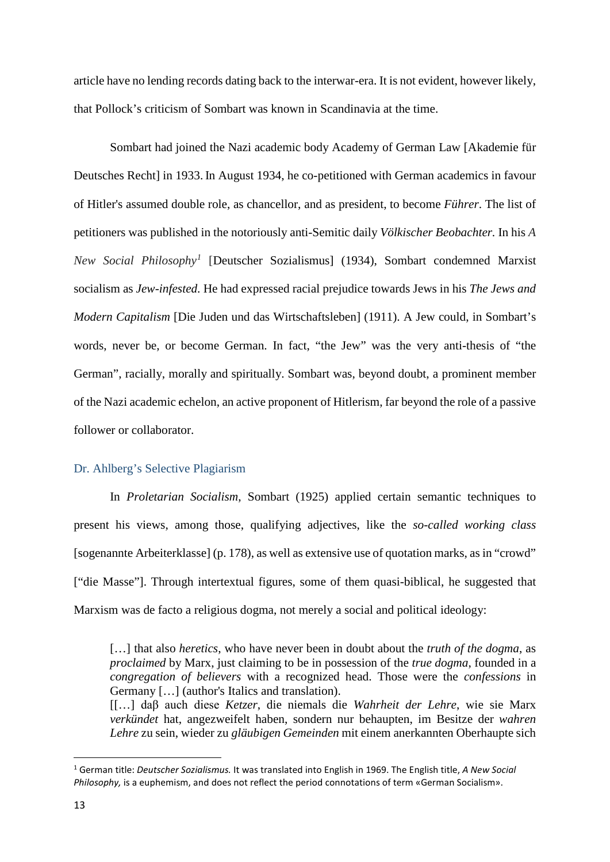article have no lending records dating back to the interwar-era. It is not evident, however likely, that Pollock's criticism of Sombart was known in Scandinavia at the time.

Sombart had joined the Nazi academic body Academy of German Law [Akademie für Deutsches Recht] in 1933. In August 1934, he co-petitioned with German academics in favour of Hitler's assumed double role, as chancellor, and as president, to become *Führer*. The list of petitioners was published in the notoriously anti-Semitic daily *Völkischer Beobachter.* In his *A New Social Philosophy[1](#page-12-0)* [Deutscher Sozialismus] (1934), Sombart condemned Marxist socialism as *Jew-infested.* He had expressed racial prejudice towards Jews in his *The Jews and Modern Capitalism* [Die Juden und das Wirtschaftsleben] (1911). A Jew could, in Sombart's words, never be, or become German. In fact, "the Jew" was the very anti-thesis of "the German", racially, morally and spiritually. Sombart was, beyond doubt, a prominent member of the Nazi academic echelon, an active proponent of Hitlerism, far beyond the role of a passive follower or collaborator.

# Dr. Ahlberg's Selective Plagiarism

In *Proletarian Socialism*, Sombart (1925) applied certain semantic techniques to present his views, among those, qualifying adjectives, like the *so-called working class*  [sogenannte Arbeiterklasse] (p. 178), as well as extensive use of quotation marks, as in "crowd" ["die Masse"]. Through intertextual figures, some of them quasi-biblical, he suggested that Marxism was de facto a religious dogma, not merely a social and political ideology:

[[…] daβ auch diese *Ketzer*, die niemals die *Wahrheit der Lehre*, wie sie Marx *verkündet* hat, angezweifelt haben, sondern nur behaupten, im Besitze der *wahren Lehre* zu sein, wieder zu *gläubigen Gemeinden* mit einem anerkannten Oberhaupte sich

<sup>[…]</sup> that also *heretics*, who have never been in doubt about the *truth of the dogma*, as *proclaimed* by Marx, just claiming to be in possession of the *true dogma*, founded in a *congregation of believers* with a recognized head. Those were the *confessions* in Germany […] (author's Italics and translation).

<span id="page-12-0"></span> <sup>1</sup> German title: *Deutscher Sozialismus.* It was translated into English in 1969. The English title, *A New Social Philosophy,* is a euphemism, and does not reflect the period connotations of term «German Socialism».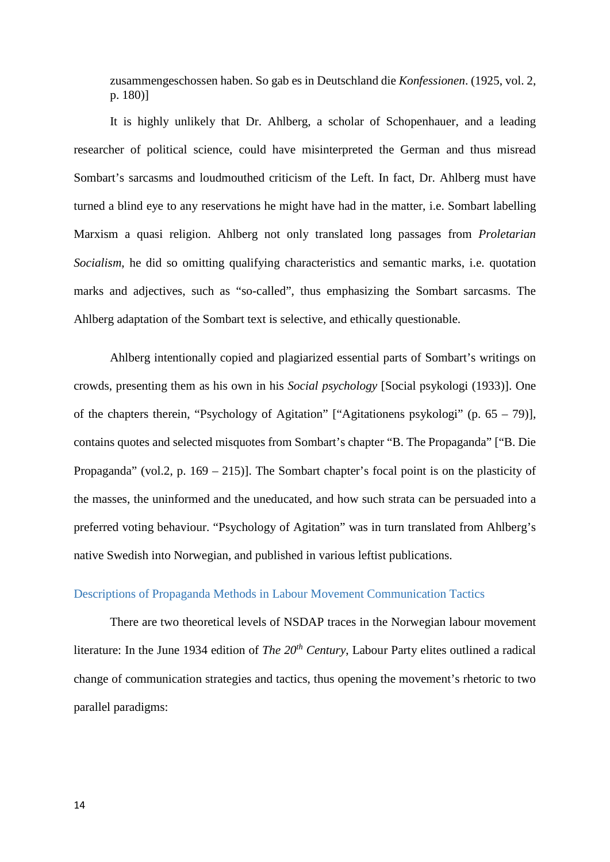zusammengeschossen haben. So gab es in Deutschland die *Konfessionen*. (1925, vol. 2, p. 180)]

It is highly unlikely that Dr. Ahlberg, a scholar of Schopenhauer, and a leading researcher of political science, could have misinterpreted the German and thus misread Sombart's sarcasms and loudmouthed criticism of the Left. In fact, Dr. Ahlberg must have turned a blind eye to any reservations he might have had in the matter, i.e. Sombart labelling Marxism a quasi religion. Ahlberg not only translated long passages from *Proletarian Socialism*, he did so omitting qualifying characteristics and semantic marks, i.e. quotation marks and adjectives, such as "so-called", thus emphasizing the Sombart sarcasms. The Ahlberg adaptation of the Sombart text is selective, and ethically questionable.

Ahlberg intentionally copied and plagiarized essential parts of Sombart's writings on crowds, presenting them as his own in his *Social psychology* [Social psykologi (1933)]. One of the chapters therein, "Psychology of Agitation" ["Agitationens psykologi" (p.  $65 - 79$ )], contains quotes and selected misquotes from Sombart's chapter "B. The Propaganda" ["B. Die Propaganda" (vol.2, p. 169 – 215)]. The Sombart chapter's focal point is on the plasticity of the masses, the uninformed and the uneducated, and how such strata can be persuaded into a preferred voting behaviour. "Psychology of Agitation" was in turn translated from Ahlberg's native Swedish into Norwegian, and published in various leftist publications.

# Descriptions of Propaganda Methods in Labour Movement Communication Tactics

There are two theoretical levels of NSDAP traces in the Norwegian labour movement literature: In the June 1934 edition of *The 20th Century*, Labour Party elites outlined a radical change of communication strategies and tactics, thus opening the movement's rhetoric to two parallel paradigms: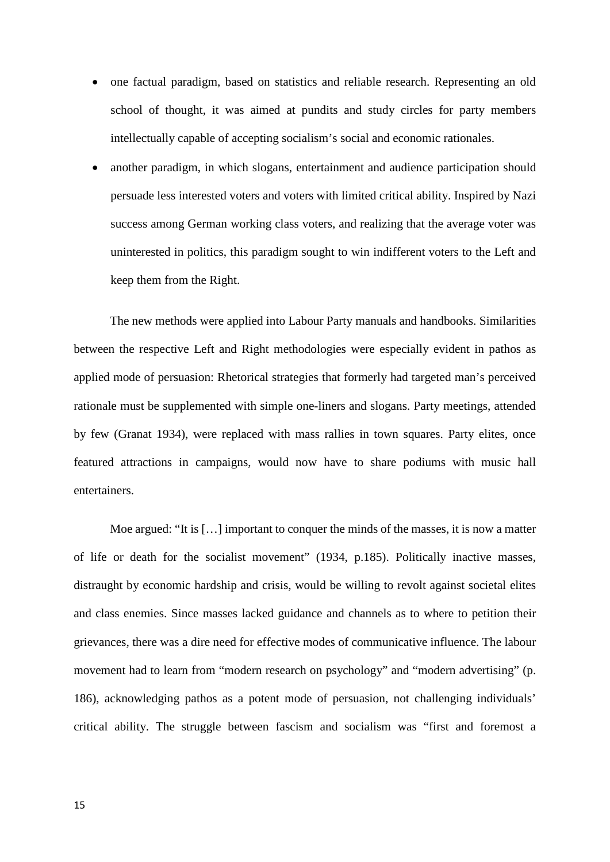- one factual paradigm, based on statistics and reliable research. Representing an old school of thought, it was aimed at pundits and study circles for party members intellectually capable of accepting socialism's social and economic rationales.
- another paradigm, in which slogans, entertainment and audience participation should persuade less interested voters and voters with limited critical ability. Inspired by Nazi success among German working class voters, and realizing that the average voter was uninterested in politics, this paradigm sought to win indifferent voters to the Left and keep them from the Right.

The new methods were applied into Labour Party manuals and handbooks. Similarities between the respective Left and Right methodologies were especially evident in pathos as applied mode of persuasion: Rhetorical strategies that formerly had targeted man's perceived rationale must be supplemented with simple one-liners and slogans. Party meetings, attended by few (Granat 1934), were replaced with mass rallies in town squares. Party elites, once featured attractions in campaigns, would now have to share podiums with music hall entertainers.

Moe argued: "It is [...] important to conquer the minds of the masses, it is now a matter of life or death for the socialist movement" (1934, p.185). Politically inactive masses, distraught by economic hardship and crisis, would be willing to revolt against societal elites and class enemies. Since masses lacked guidance and channels as to where to petition their grievances, there was a dire need for effective modes of communicative influence. The labour movement had to learn from "modern research on psychology" and "modern advertising" (p. 186), acknowledging pathos as a potent mode of persuasion, not challenging individuals' critical ability. The struggle between fascism and socialism was "first and foremost a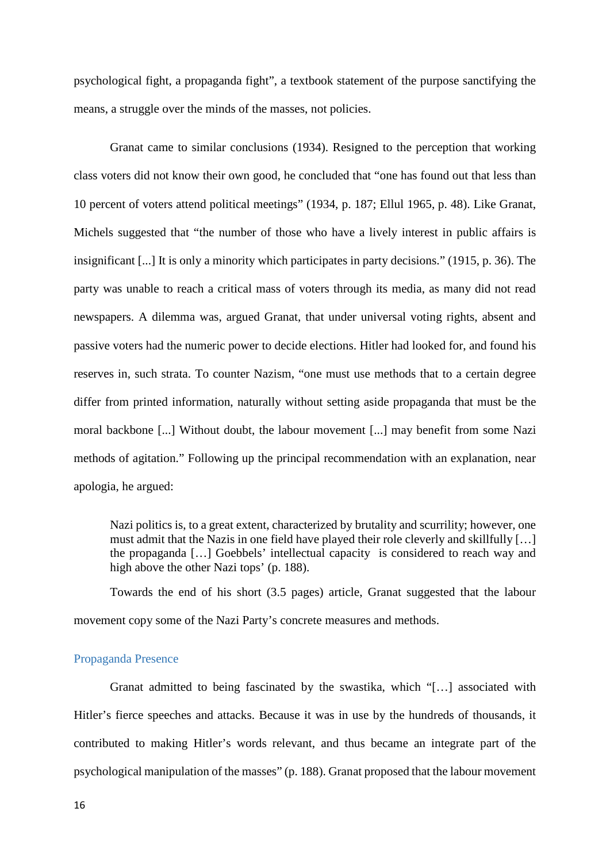psychological fight, a propaganda fight", a textbook statement of the purpose sanctifying the means, a struggle over the minds of the masses, not policies.

Granat came to similar conclusions (1934). Resigned to the perception that working class voters did not know their own good, he concluded that "one has found out that less than 10 percent of voters attend political meetings" (1934, p. 187; Ellul 1965, p. 48). Like Granat, Michels suggested that "the number of those who have a lively interest in public affairs is insignificant [...] It is only a minority which participates in party decisions." (1915, p. 36). The party was unable to reach a critical mass of voters through its media, as many did not read newspapers. A dilemma was, argued Granat, that under universal voting rights, absent and passive voters had the numeric power to decide elections. Hitler had looked for, and found his reserves in, such strata. To counter Nazism, "one must use methods that to a certain degree differ from printed information, naturally without setting aside propaganda that must be the moral backbone [...] Without doubt, the labour movement [...] may benefit from some Nazi methods of agitation." Following up the principal recommendation with an explanation, near apologia, he argued:

Nazi politics is, to a great extent, characterized by brutality and scurrility; however, one must admit that the Nazis in one field have played their role cleverly and skillfully […] the propaganda […] Goebbels' intellectual capacity is considered to reach way and high above the other Nazi tops' (p. 188).

Towards the end of his short (3.5 pages) article, Granat suggested that the labour movement copy some of the Nazi Party's concrete measures and methods.

# Propaganda Presence

Granat admitted to being fascinated by the swastika, which "[…] associated with Hitler's fierce speeches and attacks. Because it was in use by the hundreds of thousands, it contributed to making Hitler's words relevant, and thus became an integrate part of the psychological manipulation of the masses" (p. 188). Granat proposed that the labour movement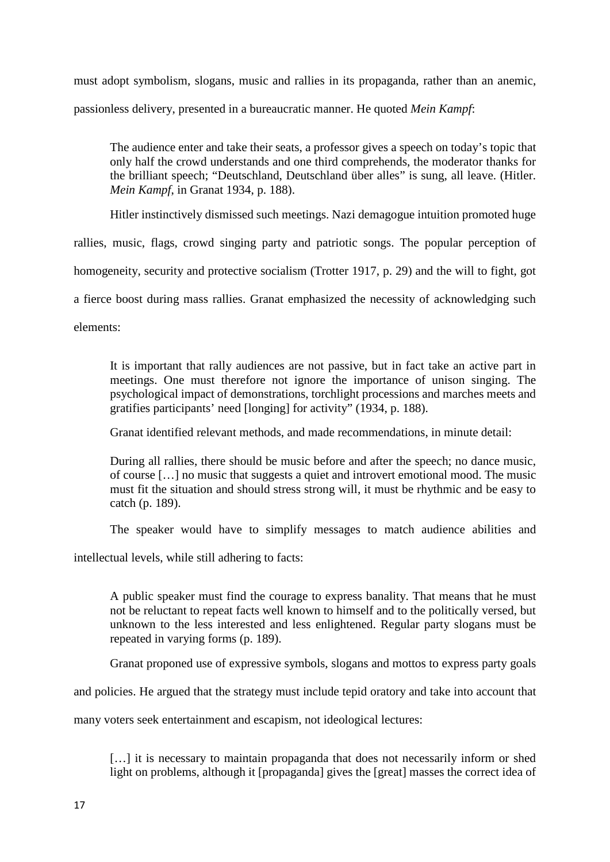must adopt symbolism, slogans, music and rallies in its propaganda, rather than an anemic, passionless delivery, presented in a bureaucratic manner. He quoted *Mein Kampf*:

The audience enter and take their seats, a professor gives a speech on today's topic that only half the crowd understands and one third comprehends, the moderator thanks for the brilliant speech; "Deutschland, Deutschland über alles" is sung, all leave. (Hitler. *Mein Kampf*, in Granat 1934, p. 188).

Hitler instinctively dismissed such meetings. Nazi demagogue intuition promoted huge

rallies, music, flags, crowd singing party and patriotic songs. The popular perception of

homogeneity, security and protective socialism (Trotter 1917, p. 29) and the will to fight, got

a fierce boost during mass rallies. Granat emphasized the necessity of acknowledging such

elements:

It is important that rally audiences are not passive, but in fact take an active part in meetings. One must therefore not ignore the importance of unison singing. The psychological impact of demonstrations, torchlight processions and marches meets and gratifies participants' need [longing] for activity" (1934, p. 188).

Granat identified relevant methods, and made recommendations, in minute detail:

During all rallies, there should be music before and after the speech; no dance music, of course […] no music that suggests a quiet and introvert emotional mood. The music must fit the situation and should stress strong will, it must be rhythmic and be easy to catch (p. 189).

The speaker would have to simplify messages to match audience abilities and

intellectual levels, while still adhering to facts:

A public speaker must find the courage to express banality. That means that he must not be reluctant to repeat facts well known to himself and to the politically versed, but unknown to the less interested and less enlightened. Regular party slogans must be repeated in varying forms (p. 189).

Granat proponed use of expressive symbols, slogans and mottos to express party goals

and policies. He argued that the strategy must include tepid oratory and take into account that

many voters seek entertainment and escapism, not ideological lectures:

[...] it is necessary to maintain propaganda that does not necessarily inform or shed light on problems, although it [propaganda] gives the [great] masses the correct idea of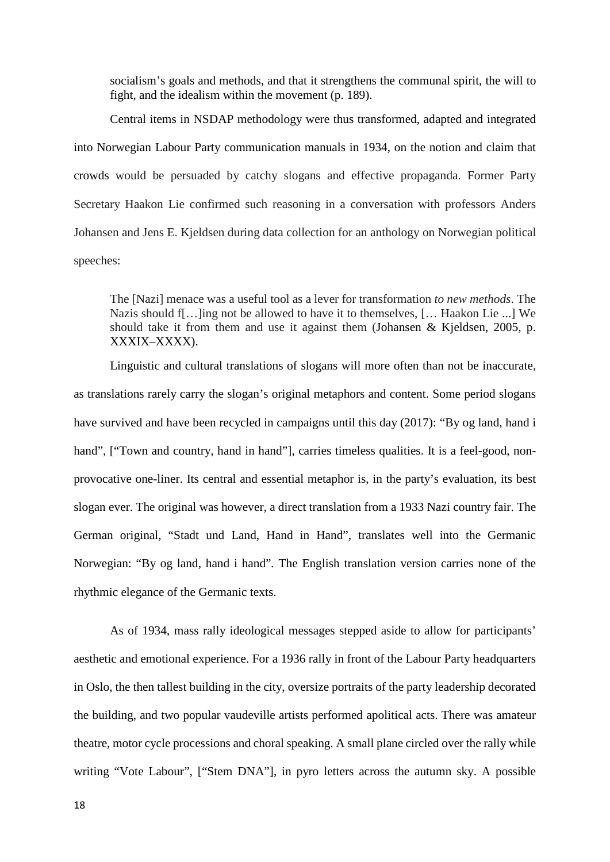socialism's goals and methods, and that it strengthens the communal spirit, the will to fight, and the idealism within the movement (p. 189).

Central items in NSDAP methodology were thus transformed, adapted and integrated into Norwegian Labour Party communication manuals in 1934, on the notion and claim that crowds would be persuaded by catchy slogans and effective propaganda. Former Party Secretary Haakon Lie confirmed such reasoning in a conversation with professors Anders Johansen and Jens E. Kjeldsen during data collection for an anthology on Norwegian political speeches:

The [Nazi] menace was a useful tool as a lever for transformation *to new methods*. The Nazis should f[…]ing not be allowed to have it to themselves, [… Haakon Lie ...] We should take it from them and use it against them (Johansen & Kjeldsen, 2005, p. XXXIX–XXXX).

Linguistic and cultural translations of slogans will more often than not be inaccurate, as translations rarely carry the slogan's original metaphors and content. Some period slogans have survived and have been recycled in campaigns until this day (2017): "By og land, hand i hand", ["Town and country, hand in hand"], carries timeless qualities. It is a feel-good, nonprovocative one-liner. Its central and essential metaphor is, in the party's evaluation, its best slogan ever. The original was however, a direct translation from a 1933 Nazi country fair. The German original, "Stadt und Land, Hand in Hand", translates well into the Germanic Norwegian: "By og land, hand i hand"*.* The English translation version carries none of the rhythmic elegance of the Germanic texts.

As of 1934, mass rally ideological messages stepped aside to allow for participants' aesthetic and emotional experience. For a 1936 rally in front of the Labour Party headquarters in Oslo, the then tallest building in the city, oversize portraits of the party leadership decorated the building, and two popular vaudeville artists performed apolitical acts. There was amateur theatre, motor cycle processions and choral speaking. A small plane circled over the rally while writing "Vote Labour", ["Stem DNA"], in pyro letters across the autumn sky. A possible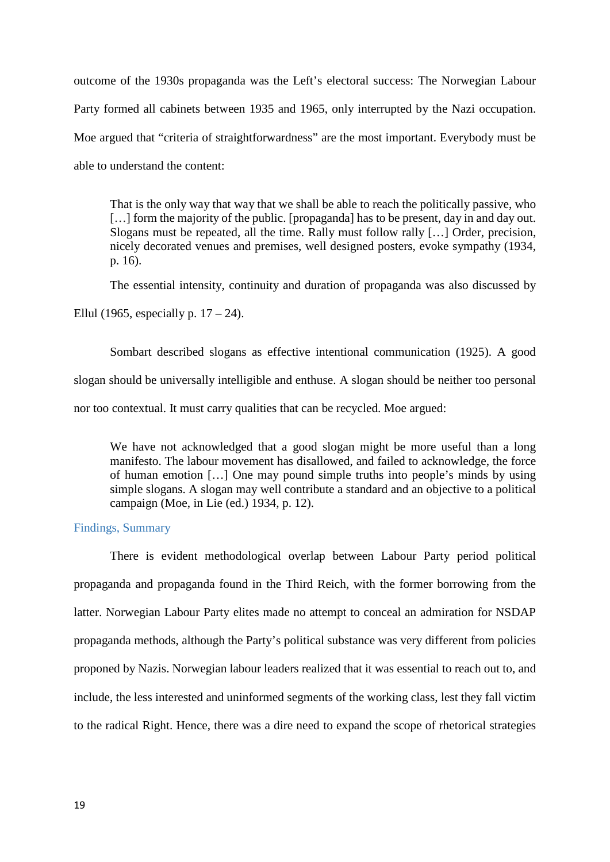outcome of the 1930s propaganda was the Left's electoral success: The Norwegian Labour Party formed all cabinets between 1935 and 1965, only interrupted by the Nazi occupation. Moe argued that "criteria of straightforwardness" are the most important. Everybody must be able to understand the content:

That is the only way that way that we shall be able to reach the politically passive, who [...] form the majority of the public. [propaganda] has to be present, day in and day out. Slogans must be repeated, all the time. Rally must follow rally […] Order, precision, nicely decorated venues and premises, well designed posters, evoke sympathy (1934, p. 16).

The essential intensity, continuity and duration of propaganda was also discussed by Ellul (1965, especially p.  $17 - 24$ ).

Sombart described slogans as effective intentional communication (1925). A good slogan should be universally intelligible and enthuse. A slogan should be neither too personal nor too contextual. It must carry qualities that can be recycled. Moe argued:

We have not acknowledged that a good slogan might be more useful than a long manifesto. The labour movement has disallowed, and failed to acknowledge, the force of human emotion […] One may pound simple truths into people's minds by using simple slogans. A slogan may well contribute a standard and an objective to a political campaign (Moe, in Lie (ed.) 1934, p. 12).

# Findings, Summary

There is evident methodological overlap between Labour Party period political propaganda and propaganda found in the Third Reich, with the former borrowing from the latter. Norwegian Labour Party elites made no attempt to conceal an admiration for NSDAP propaganda methods, although the Party's political substance was very different from policies proponed by Nazis. Norwegian labour leaders realized that it was essential to reach out to, and include, the less interested and uninformed segments of the working class, lest they fall victim to the radical Right. Hence, there was a dire need to expand the scope of rhetorical strategies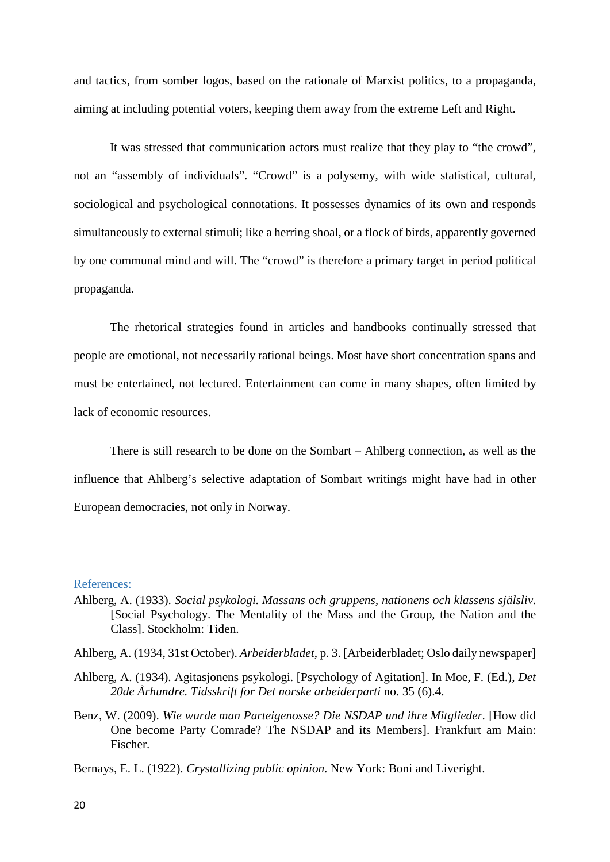and tactics, from somber logos, based on the rationale of Marxist politics, to a propaganda, aiming at including potential voters, keeping them away from the extreme Left and Right.

It was stressed that communication actors must realize that they play to "the crowd", not an "assembly of individuals". "Crowd" is a polysemy, with wide statistical, cultural, sociological and psychological connotations. It possesses dynamics of its own and responds simultaneously to external stimuli; like a herring shoal, or a flock of birds, apparently governed by one communal mind and will. The "crowd" is therefore a primary target in period political propaganda.

The rhetorical strategies found in articles and handbooks continually stressed that people are emotional, not necessarily rational beings. Most have short concentration spans and must be entertained, not lectured. Entertainment can come in many shapes, often limited by lack of economic resources.

There is still research to be done on the Sombart – Ahlberg connection, as well as the influence that Ahlberg's selective adaptation of Sombart writings might have had in other European democracies, not only in Norway.

# References:

Ahlberg, A. (1933). *Social psykologi. Massans och gruppens, nationens och klassens själsliv*. [Social Psychology. The Mentality of the Mass and the Group, the Nation and the Class]. Stockholm: Tiden.

Ahlberg, A. (1934, 31st October). *Arbeiderbladet*, p. 3. [Arbeiderbladet; Oslo daily newspaper]

- Ahlberg, A. (1934). Agitasjonens psykologi. [Psychology of Agitation]. In Moe, F. (Ed.), *Det 20de Århundre. Tidsskrift for Det norske arbeiderparti* no. 35 (6).4.
- Benz, W. (2009). *Wie wurde man Parteigenosse? Die NSDAP und ihre Mitglieder.* [How did One become Party Comrade? The NSDAP and its Members]. Frankfurt am Main: Fischer.
- Bernays, E. L. (1922). *Crystallizing public opinion*. New York: Boni and Liveright.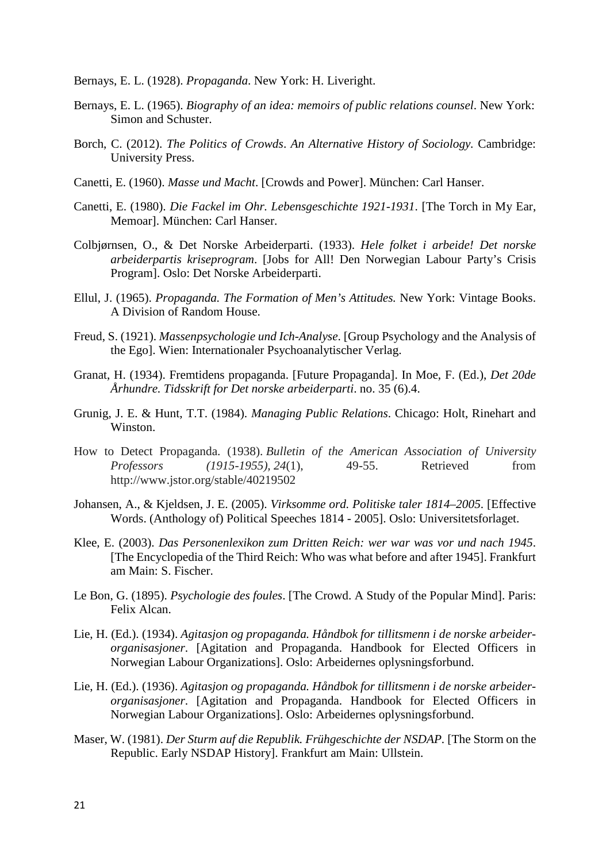Bernays, E. L. (1928). *Propaganda*. New York: H. Liveright.

- Bernays, E. L. (1965). *Biography of an idea: memoirs of public relations counsel*. New York: Simon and Schuster.
- Borch, C. (2012). *The Politics of Crowds*. *An Alternative History of Sociology.* Cambridge: University Press.
- Canetti, E. (1960). *Masse und Macht*. [Crowds and Power]. München: Carl Hanser.
- Canetti, E. (1980). *Die Fackel im Ohr. Lebensgeschichte 1921-1931*. [The Torch in My Ear, Memoar]. München: Carl Hanser.
- Colbjørnsen, O., & Det Norske Arbeiderparti. (1933). *Hele folket i arbeide! Det norske arbeiderpartis kriseprogram*. [Jobs for All! Den Norwegian Labour Party's Crisis Program]. Oslo: Det Norske Arbeiderparti.
- Ellul, J. (1965). *Propaganda. The Formation of Men's Attitudes.* New York: Vintage Books. A Division of Random House.
- Freud, S. (1921). *Massenpsychologie und Ich-Analyse*. [Group Psychology and the Analysis of the Ego]. Wien: Internationaler Psychoanalytischer Verlag.
- Granat, H. (1934). Fremtidens propaganda. [Future Propaganda]. In Moe, F. (Ed.), *Det 20de Århundre. Tidsskrift for Det norske arbeiderparti*. no. 35 (6).4.
- Grunig, J. E. & Hunt, T.T. (1984). *Managing Public Relations*. Chicago: Holt, Rinehart and Winston.
- How to Detect Propaganda. (1938). *Bulletin of the American Association of University Professors (1915-1955), 24*(1), 49-55. Retrieved from http://www.jstor.org/stable/40219502
- Johansen, A., & Kjeldsen, J. E. (2005). *Virksomme ord. Politiske taler 1814–2005*. [Effective Words. (Anthology of) Political Speeches 1814 - 2005]. Oslo: Universitetsforlaget.
- Klee, E. (2003). *Das Personenlexikon zum Dritten Reich: wer war was vor und nach 1945*. [The Encyclopedia of the Third Reich: Who was what before and after 1945]. Frankfurt am Main: S. Fischer.
- Le Bon, G. (1895). *Psychologie des foules*. [The Crowd. A Study of the Popular Mind]. Paris: Felix Alcan.
- Lie, H. (Ed.). (1934). *Agitasjon og propaganda. Håndbok for tillitsmenn i de norske arbeiderorganisasjoner*. [Agitation and Propaganda. Handbook for Elected Officers in Norwegian Labour Organizations]. Oslo: Arbeidernes oplysningsforbund.
- Lie, H. (Ed.). (1936). *Agitasjon og propaganda. Håndbok for tillitsmenn i de norske arbeiderorganisasjoner*. [Agitation and Propaganda. Handbook for Elected Officers in Norwegian Labour Organizations]. Oslo: Arbeidernes oplysningsforbund.
- Maser, W. (1981). *Der Sturm auf die Republik. Frühgeschichte der NSDAP.* [The Storm on the Republic. Early NSDAP History]. Frankfurt am Main: Ullstein.